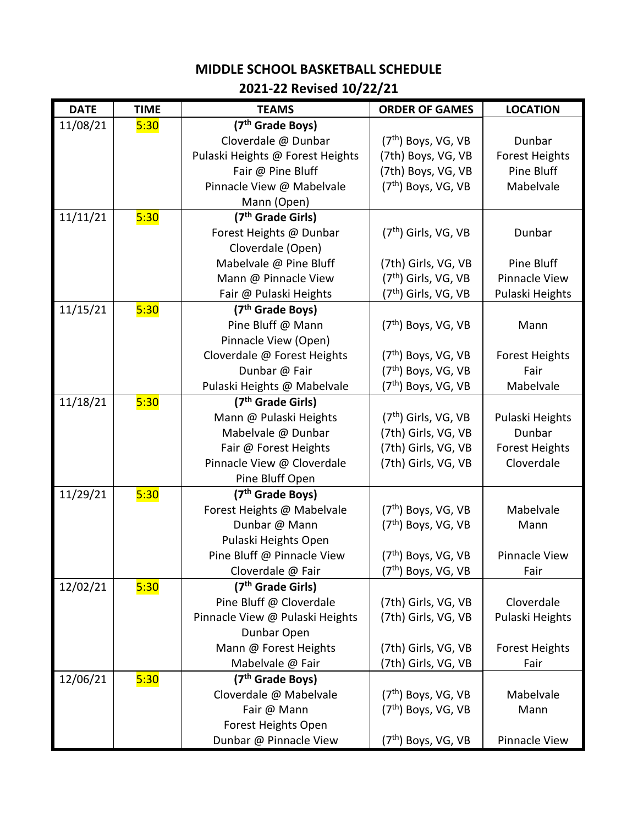## **MIDDLE SCHOOL BASKETBALL SCHEDULE 2021-22 Revised 10/22/21**

| <b>DATE</b> | <b>TIME</b> | <b>TEAMS</b>                     | <b>ORDER OF GAMES</b>            | <b>LOCATION</b>       |
|-------------|-------------|----------------------------------|----------------------------------|-----------------------|
| 11/08/21    | 5:30        | (7 <sup>th</sup> Grade Boys)     |                                  |                       |
|             |             | Cloverdale @ Dunbar              | $(7th)$ Boys, VG, VB             | Dunbar                |
|             |             | Pulaski Heights @ Forest Heights | (7th) Boys, VG, VB               | <b>Forest Heights</b> |
|             |             | Fair @ Pine Bluff                | (7th) Boys, VG, VB               | Pine Bluff            |
|             |             | Pinnacle View @ Mabelvale        | $(7th)$ Boys, VG, VB             | Mabelvale             |
|             |             | Mann (Open)                      |                                  |                       |
| 11/11/21    | 5:30        | (7 <sup>th</sup> Grade Girls)    |                                  |                       |
|             |             | Forest Heights @ Dunbar          | $(7th)$ Girls, VG, VB            | Dunbar                |
|             |             | Cloverdale (Open)                |                                  |                       |
|             |             | Mabelvale @ Pine Bluff           | (7th) Girls, VG, VB              | Pine Bluff            |
|             |             | Mann @ Pinnacle View             | $(7th)$ Girls, VG, VB            | <b>Pinnacle View</b>  |
|             |             | Fair @ Pulaski Heights           | (7 <sup>th</sup> ) Girls, VG, VB | Pulaski Heights       |
| 11/15/21    | 5:30        | (7 <sup>th</sup> Grade Boys)     |                                  |                       |
|             |             | Pine Bluff @ Mann                | $(7th)$ Boys, VG, VB             | Mann                  |
|             |             | Pinnacle View (Open)             |                                  |                       |
|             |             | Cloverdale @ Forest Heights      | $(7th)$ Boys, VG, VB             | <b>Forest Heights</b> |
|             |             | Dunbar @ Fair                    | $(7th)$ Boys, VG, VB             | Fair                  |
|             |             | Pulaski Heights @ Mabelvale      | (7 <sup>th</sup> ) Boys, VG, VB  | Mabelvale             |
| 11/18/21    | 5:30        | (7 <sup>th</sup> Grade Girls)    |                                  |                       |
|             |             | Mann @ Pulaski Heights           | $(7th)$ Girls, VG, VB            | Pulaski Heights       |
|             |             | Mabelvale @ Dunbar               | (7th) Girls, VG, VB              | Dunbar                |
|             |             | Fair @ Forest Heights            | (7th) Girls, VG, VB              | <b>Forest Heights</b> |
|             |             | Pinnacle View @ Cloverdale       | (7th) Girls, VG, VB              | Cloverdale            |
|             |             | Pine Bluff Open                  |                                  |                       |
| 11/29/21    | 5:30        | (7 <sup>th</sup> Grade Boys)     |                                  |                       |
|             |             | Forest Heights @ Mabelvale       | (7 <sup>th</sup> ) Boys, VG, VB  | Mabelvale             |
|             |             | Dunbar @ Mann                    | $(7th)$ Boys, VG, VB             | Mann                  |
|             |             | Pulaski Heights Open             |                                  |                       |
|             |             | Pine Bluff @ Pinnacle View       | $(7th)$ Boys, VG, VB             | <b>Pinnacle View</b>  |
|             |             | Cloverdale @ Fair                | (7 <sup>th</sup> ) Boys, VG, VB  | Fair                  |
| 12/02/21    | 5:30        | (7 <sup>th</sup> Grade Girls)    |                                  |                       |
|             |             | Pine Bluff @ Cloverdale          | (7th) Girls, VG, VB              | Cloverdale            |
|             |             | Pinnacle View @ Pulaski Heights  | (7th) Girls, VG, VB              | Pulaski Heights       |
|             |             | Dunbar Open                      |                                  |                       |
|             |             | Mann @ Forest Heights            | (7th) Girls, VG, VB              | <b>Forest Heights</b> |
|             |             | Mabelvale @ Fair                 | (7th) Girls, VG, VB              | Fair                  |
| 12/06/21    | 5:30        | (7 <sup>th</sup> Grade Boys)     |                                  |                       |
|             |             | Cloverdale @ Mabelvale           | $(7th)$ Boys, VG, VB             | Mabelvale             |
|             |             | Fair @ Mann                      | $(7th)$ Boys, VG, VB             | Mann                  |
|             |             | Forest Heights Open              |                                  |                       |
|             |             | Dunbar @ Pinnacle View           | (7 <sup>th</sup> ) Boys, VG, VB  | Pinnacle View         |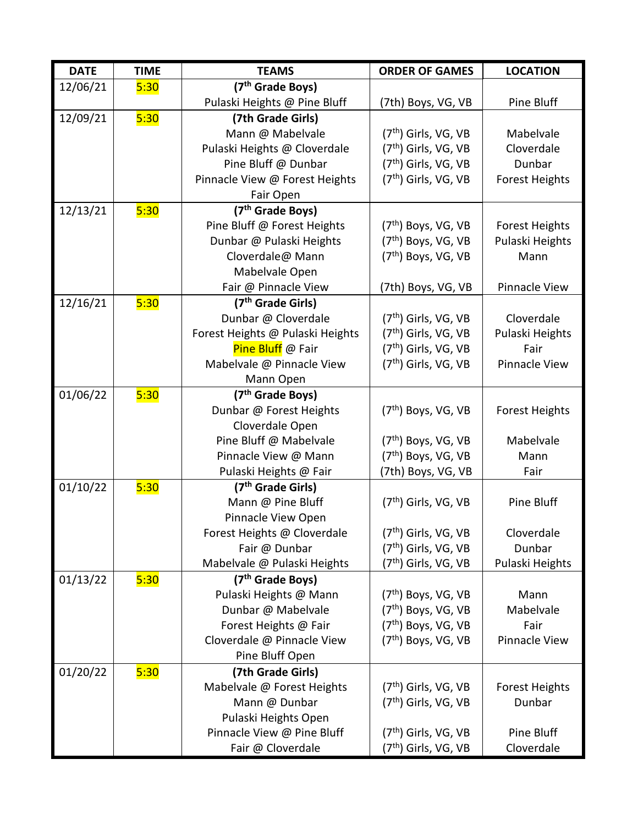| <b>DATE</b> | <b>TIME</b> | <b>TEAMS</b>                     | <b>ORDER OF GAMES</b>            | <b>LOCATION</b>       |
|-------------|-------------|----------------------------------|----------------------------------|-----------------------|
| 12/06/21    | 5:30        | (7 <sup>th</sup> Grade Boys)     |                                  |                       |
|             |             | Pulaski Heights @ Pine Bluff     | (7th) Boys, VG, VB               | Pine Bluff            |
| 12/09/21    | 5:30        | (7th Grade Girls)                |                                  |                       |
|             |             | Mann @ Mabelvale                 | $(7th)$ Girls, VG, VB            | Mabelvale             |
|             |             | Pulaski Heights @ Cloverdale     | $(7th)$ Girls, VG, VB            | Cloverdale            |
|             |             | Pine Bluff @ Dunbar              | $(7th)$ Girls, VG, VB            | Dunbar                |
|             |             | Pinnacle View @ Forest Heights   | $(7th)$ Girls, VG, VB            | <b>Forest Heights</b> |
|             |             | Fair Open                        |                                  |                       |
| 12/13/21    | 5:30        | (7 <sup>th</sup> Grade Boys)     |                                  |                       |
|             |             | Pine Bluff @ Forest Heights      | $(7th)$ Boys, VG, VB             | <b>Forest Heights</b> |
|             |             | Dunbar @ Pulaski Heights         | $(7th)$ Boys, VG, VB             | Pulaski Heights       |
|             |             | Cloverdale@ Mann                 | $(7th)$ Boys, VG, VB             | Mann                  |
|             |             | Mabelvale Open                   |                                  |                       |
|             |             | Fair @ Pinnacle View             | (7th) Boys, VG, VB               | Pinnacle View         |
| 12/16/21    | 5:30        | (7 <sup>th</sup> Grade Girls)    |                                  |                       |
|             |             | Dunbar @ Cloverdale              | $(7th)$ Girls, VG, VB            | Cloverdale            |
|             |             | Forest Heights @ Pulaski Heights | $(7th)$ Girls, VG, VB            | Pulaski Heights       |
|             |             | Pine Bluff @ Fair                | (7th) Girls, VG, VB              | Fair                  |
|             |             | Mabelvale @ Pinnacle View        | $(7th)$ Girls, VG, VB            | Pinnacle View         |
|             |             | Mann Open                        |                                  |                       |
| 01/06/22    | 5:30        | (7 <sup>th</sup> Grade Boys)     |                                  |                       |
|             |             | Dunbar @ Forest Heights          | $(7th)$ Boys, VG, VB             | <b>Forest Heights</b> |
|             |             | Cloverdale Open                  |                                  |                       |
|             |             | Pine Bluff @ Mabelvale           | $(7th)$ Boys, VG, VB             | Mabelvale             |
|             |             | Pinnacle View @ Mann             | $(7th)$ Boys, VG, VB             | Mann                  |
|             |             | Pulaski Heights @ Fair           | (7th) Boys, VG, VB               | Fair                  |
| 01/10/22    | 5:30        | (7 <sup>th</sup> Grade Girls)    |                                  |                       |
|             |             | Mann @ Pine Bluff                | $(7th)$ Girls, VG, VB            | Pine Bluff            |
|             |             | Pinnacle View Open               |                                  |                       |
|             |             | Forest Heights @ Cloverdale      | (7 <sup>th</sup> ) Girls, VG, VB | Cloverdale            |
|             |             | Fair @ Dunbar                    | (7 <sup>th</sup> ) Girls, VG, VB | Dunbar                |
|             |             | Mabelvale @ Pulaski Heights      | (7 <sup>th</sup> ) Girls, VG, VB | Pulaski Heights       |
| 01/13/22    | 5:30        | (7 <sup>th</sup> Grade Boys)     |                                  |                       |
|             |             | Pulaski Heights @ Mann           | $(7th)$ Boys, VG, VB             | Mann                  |
|             |             | Dunbar @ Mabelvale               | $(7th)$ Boys, VG, VB             | Mabelvale             |
|             |             | Forest Heights @ Fair            | (7 <sup>th</sup> ) Boys, VG, VB  | Fair                  |
|             |             | Cloverdale @ Pinnacle View       | (7 <sup>th</sup> ) Boys, VG, VB  | Pinnacle View         |
|             |             | Pine Bluff Open                  |                                  |                       |
| 01/20/22    | 5:30        | (7th Grade Girls)                |                                  |                       |
|             |             | Mabelvale @ Forest Heights       | (7 <sup>th</sup> ) Girls, VG, VB | <b>Forest Heights</b> |
|             |             | Mann @ Dunbar                    | $(7th)$ Girls, VG, VB            | Dunbar                |
|             |             | Pulaski Heights Open             |                                  |                       |
|             |             | Pinnacle View @ Pine Bluff       | $(7th)$ Girls, VG, VB            | Pine Bluff            |
|             |             | Fair @ Cloverdale                | (7 <sup>th</sup> ) Girls, VG, VB | Cloverdale            |